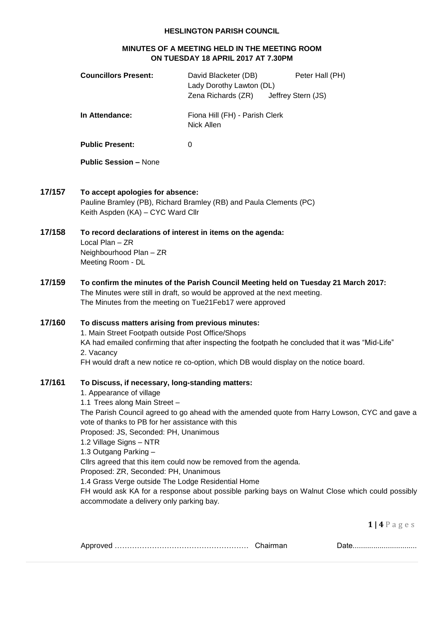## **HESLINGTON PARISH COUNCIL**

## **MINUTES OF A MEETING HELD IN THE MEETING ROOM ON TUESDAY 18 APRIL 2017 AT 7.30PM**

|        | <b>Councillors Present:</b>                                                                                                                                                                                                                                                                                                                                                                                | David Blacketer (DB)<br>Lady Dorothy Lawton (DL)<br>Zena Richards (ZR)                                                                                                                    | Peter Hall (PH)<br>Jeffrey Stern (JS)                                                                                                                                                             |
|--------|------------------------------------------------------------------------------------------------------------------------------------------------------------------------------------------------------------------------------------------------------------------------------------------------------------------------------------------------------------------------------------------------------------|-------------------------------------------------------------------------------------------------------------------------------------------------------------------------------------------|---------------------------------------------------------------------------------------------------------------------------------------------------------------------------------------------------|
|        | In Attendance:                                                                                                                                                                                                                                                                                                                                                                                             | Fiona Hill (FH) - Parish Clerk<br>Nick Allen                                                                                                                                              |                                                                                                                                                                                                   |
|        | <b>Public Present:</b>                                                                                                                                                                                                                                                                                                                                                                                     | $\mathbf 0$                                                                                                                                                                               |                                                                                                                                                                                                   |
|        | <b>Public Session - None</b>                                                                                                                                                                                                                                                                                                                                                                               |                                                                                                                                                                                           |                                                                                                                                                                                                   |
| 17/157 | To accept apologies for absence:<br>Keith Aspden (KA) - CYC Ward Cllr                                                                                                                                                                                                                                                                                                                                      | Pauline Bramley (PB), Richard Bramley (RB) and Paula Clements (PC)                                                                                                                        |                                                                                                                                                                                                   |
| 17/158 | To record declarations of interest in items on the agenda:<br>Local Plan - ZR<br>Neighbourhood Plan - ZR<br>Meeting Room - DL                                                                                                                                                                                                                                                                              |                                                                                                                                                                                           |                                                                                                                                                                                                   |
| 17/159 | The Minutes from the meeting on Tue21Feb17 were approved                                                                                                                                                                                                                                                                                                                                                   | To confirm the minutes of the Parish Council Meeting held on Tuesday 21 March 2017:<br>The Minutes were still in draft, so would be approved at the next meeting.                         |                                                                                                                                                                                                   |
| 17/160 | To discuss matters arising from previous minutes:<br>1. Main Street Footpath outside Post Office/Shops<br>2. Vacancy                                                                                                                                                                                                                                                                                       | KA had emailed confirming that after inspecting the footpath he concluded that it was "Mid-Life"<br>FH would draft a new notice re co-option, which DB would display on the notice board. |                                                                                                                                                                                                   |
| 17/161 | To Discuss, if necessary, long-standing matters:<br>1. Appearance of village<br>1.1 Trees along Main Street -<br>vote of thanks to PB for her assistance with this<br>Proposed: JS, Seconded: PH, Unanimous<br>1.2 Village Signs - NTR<br>1.3 Outgang Parking -<br>Proposed: ZR, Seconded: PH, Unanimous<br>1.4 Grass Verge outside The Lodge Residential Home<br>accommodate a delivery only parking bay. | Clirs agreed that this item could now be removed from the agenda.                                                                                                                         | The Parish Council agreed to go ahead with the amended quote from Harry Lowson, CYC and gave a<br>FH would ask KA for a response about possible parking bays on Walnut Close which could possibly |
|        |                                                                                                                                                                                                                                                                                                                                                                                                            |                                                                                                                                                                                           | $1   4 P$ ages                                                                                                                                                                                    |

Approved ……………………………………………… Chairman Date...............................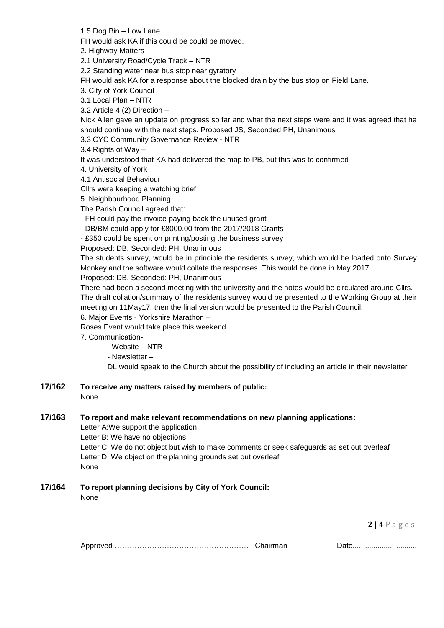1.5 Dog Bin – Low Lane

FH would ask KA if this could be could be moved.

2. Highway Matters

2.1 University Road/Cycle Track – NTR

2.2 Standing water near bus stop near gyratory

FH would ask KA for a response about the blocked drain by the bus stop on Field Lane.

3. City of York Council

3.1 Local Plan – NTR

3.2 Article 4 (2) Direction –

Nick Allen gave an update on progress so far and what the next steps were and it was agreed that he should continue with the next steps. Proposed JS, Seconded PH, Unanimous

3.3 CYC Community Governance Review - NTR

3.4 Rights of Way –

It was understood that KA had delivered the map to PB, but this was to confirmed

4. University of York

4.1 Antisocial Behaviour

Cllrs were keeping a watching brief

5. Neighbourhood Planning

The Parish Council agreed that:

- FH could pay the invoice paying back the unused grant

- DB/BM could apply for £8000.00 from the 2017/2018 Grants

- £350 could be spent on printing/posting the business survey

Proposed: DB, Seconded: PH, Unanimous

The students survey, would be in principle the residents survey, which would be loaded onto Survey Monkey and the software would collate the responses. This would be done in May 2017 Proposed: DB, Seconded: PH, Unanimous

There had been a second meeting with the university and the notes would be circulated around Cllrs. The draft collation/summary of the residents survey would be presented to the Working Group at their meeting on 11May17, then the final version would be presented to the Parish Council.

6. Major Events - Yorkshire Marathon –

Roses Event would take place this weekend

7. Communication-

- Website – NTR

- Newsletter –

DL would speak to the Church about the possibility of including an article in their newsletter

**17/162 To receive any matters raised by members of public:** None

## **17/163 To report and make relevant recommendations on new planning applications:**

Letter A:We support the application Letter B: We have no objections Letter C: We do not object but wish to make comments or seek safeguards as set out overleaf Letter D: We object on the planning grounds set out overleaf None

## **17/164 To report planning decisions by City of York Council:**

None

**2 | 4** P a g e s

|  |  | , |
|--|--|---|
|--|--|---|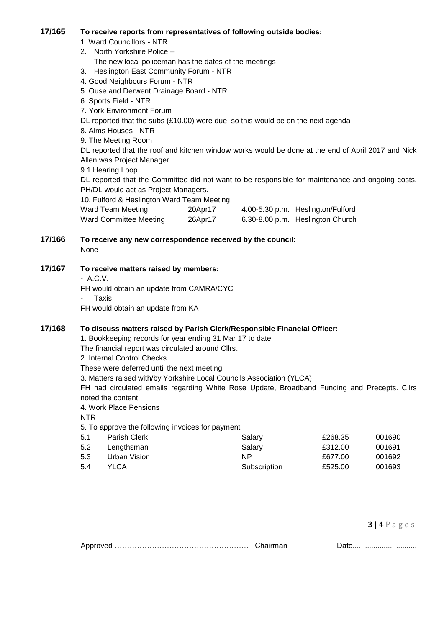#### **17/165 To receive reports from representatives of following outside bodies:**

1. Ward Councillors - NTR

- 2. North Yorkshire Police –
- The new local policeman has the dates of the meetings
- 3. Heslington East Community Forum NTR
- 4. Good Neighbours Forum NTR
- 5. Ouse and Derwent Drainage Board NTR
- 6. Sports Field NTR
- 7. York Environment Forum
- DL reported that the subs (£10.00) were due, so this would be on the next agenda
- 8. Alms Houses NTR
- 9. The Meeting Room

DL reported that the roof and kitchen window works would be done at the end of April 2017 and Nick Allen was Project Manager

9.1 Hearing Loop

DL reported that the Committee did not want to be responsible for maintenance and ongoing costs. PH/DL would act as Project Managers.

10. Fulford & Heslington Ward Team Meeting

| Ward Team Meeting      | 20Apr17 | 4.00-5.30 p.m. Heslington/Fulford |
|------------------------|---------|-----------------------------------|
| Ward Committee Meeting | 26Apr17 | 6.30-8.00 p.m. Heslington Church  |

# **17/166 To receive any new correspondence received by the council:**

None

#### **17/167 To receive matters raised by members:**

- A.C.V.
- FH would obtain an update from CAMRA/CYC
- **Taxis**

FH would obtain an update from KA

#### **17/168 To discuss matters raised by Parish Clerk/Responsible Financial Officer:**

1. Bookkeeping records for year ending 31 Mar 17 to date

The financial report was circulated around Cllrs.

- 2. Internal Control Checks
- These were deferred until the next meeting

3. Matters raised with/by Yorkshire Local Councils Association (YLCA)

FH had circulated emails regarding White Rose Update, Broadband Funding and Precepts. Cllrs noted the content

4. Work Place Pensions

NTR

5. To approve the following invoices for payment

| 5.1 | Parish Clerk | Salary       | £268.35 | 001690 |
|-----|--------------|--------------|---------|--------|
| 5.2 | Lengthsman   | Salary       | £312.00 | 001691 |
| 5.3 | Urban Vision | NP.          | £677.00 | 001692 |
| 5.4 | YLCA         | Subscription | £525.00 | 001693 |

**3 | 4** P a g e s